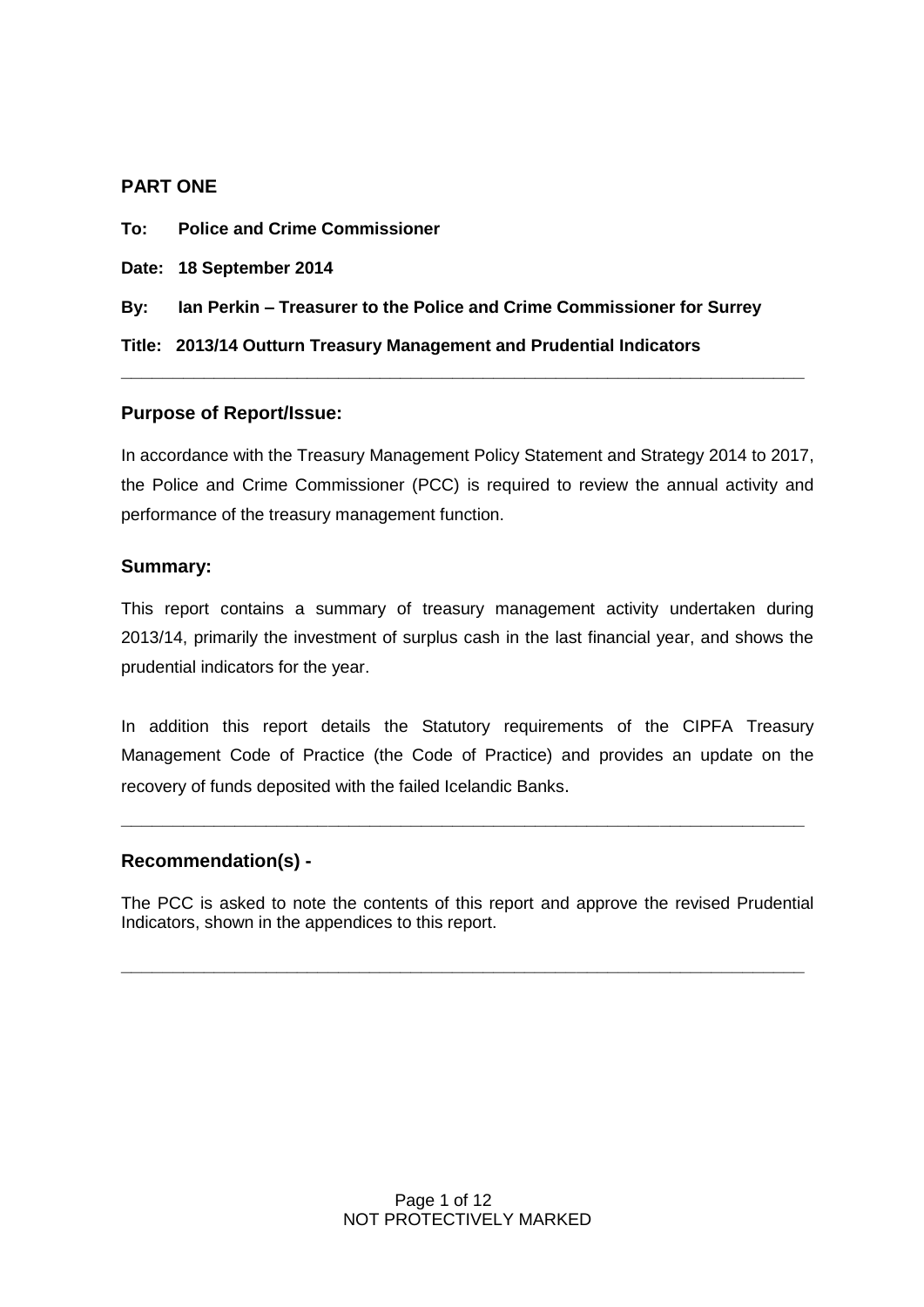#### **PART ONE**

**To: Police and Crime Commissioner** 

**Date: 18 September 2014**

**By: Ian Perkin – Treasurer to the Police and Crime Commissioner for Surrey**

**Title: 2013/14 Outturn Treasury Management and Prudential Indicators**

#### **Purpose of Report/Issue:**

In accordance with the Treasury Management Policy Statement and Strategy 2014 to 2017, the Police and Crime Commissioner (PCC) is required to review the annual activity and performance of the treasury management function.

**\_\_\_\_\_\_\_\_\_\_\_\_\_\_\_\_\_\_\_\_\_\_\_\_\_\_\_\_\_\_\_\_\_\_\_\_\_\_\_\_\_\_\_\_\_\_\_\_\_\_\_\_\_\_\_\_\_\_\_\_\_\_\_\_\_\_**

#### **Summary:**

This report contains a summary of treasury management activity undertaken during 2013/14, primarily the investment of surplus cash in the last financial year, and shows the prudential indicators for the year.

In addition this report details the Statutory requirements of the CIPFA Treasury Management Code of Practice (the Code of Practice) and provides an update on the recovery of funds deposited with the failed Icelandic Banks.

**\_\_\_\_\_\_\_\_\_\_\_\_\_\_\_\_\_\_\_\_\_\_\_\_\_\_\_\_\_\_\_\_\_\_\_\_\_\_\_\_\_\_\_\_\_\_\_\_\_\_\_\_\_\_\_\_\_\_\_\_\_\_\_\_\_\_**

#### **Recommendation(s) -**

The PCC is asked to note the contents of this report and approve the revised Prudential Indicators, shown in the appendices to this report.

**\_\_\_\_\_\_\_\_\_\_\_\_\_\_\_\_\_\_\_\_\_\_\_\_\_\_\_\_\_\_\_\_\_\_\_\_\_\_\_\_\_\_\_\_\_\_\_\_\_\_\_\_\_\_\_\_\_\_\_\_\_\_\_\_\_\_**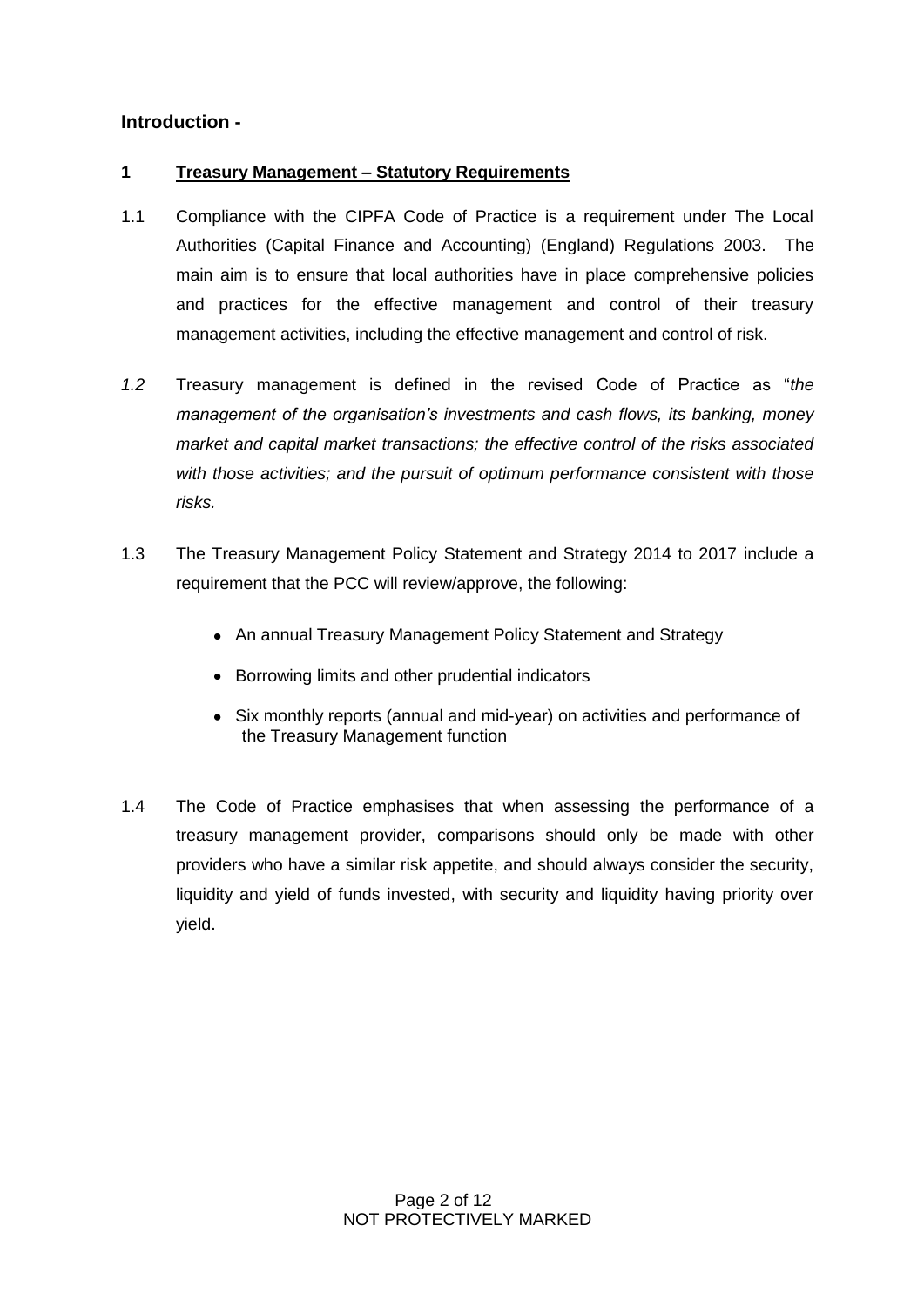### **Introduction -**

#### **1 Treasury Management – Statutory Requirements**

- 1.1 Compliance with the CIPFA Code of Practice is a requirement under The Local Authorities (Capital Finance and Accounting) (England) Regulations 2003. The main aim is to ensure that local authorities have in place comprehensive policies and practices for the effective management and control of their treasury management activities, including the effective management and control of risk.
- *1.2* Treasury management is defined in the revised Code of Practice as "*the management of the organisation's investments and cash flows, its banking, money market and capital market transactions; the effective control of the risks associated with those activities; and the pursuit of optimum performance consistent with those risks.*
- 1.3 The Treasury Management Policy Statement and Strategy 2014 to 2017 include a requirement that the PCC will review/approve, the following:
	- An annual Treasury Management Policy Statement and Strategy
	- Borrowing limits and other prudential indicators
	- Six monthly reports (annual and mid-year) on activities and performance of the Treasury Management function
- 1.4 The Code of Practice emphasises that when assessing the performance of a treasury management provider, comparisons should only be made with other providers who have a similar risk appetite, and should always consider the security, liquidity and yield of funds invested, with security and liquidity having priority over yield.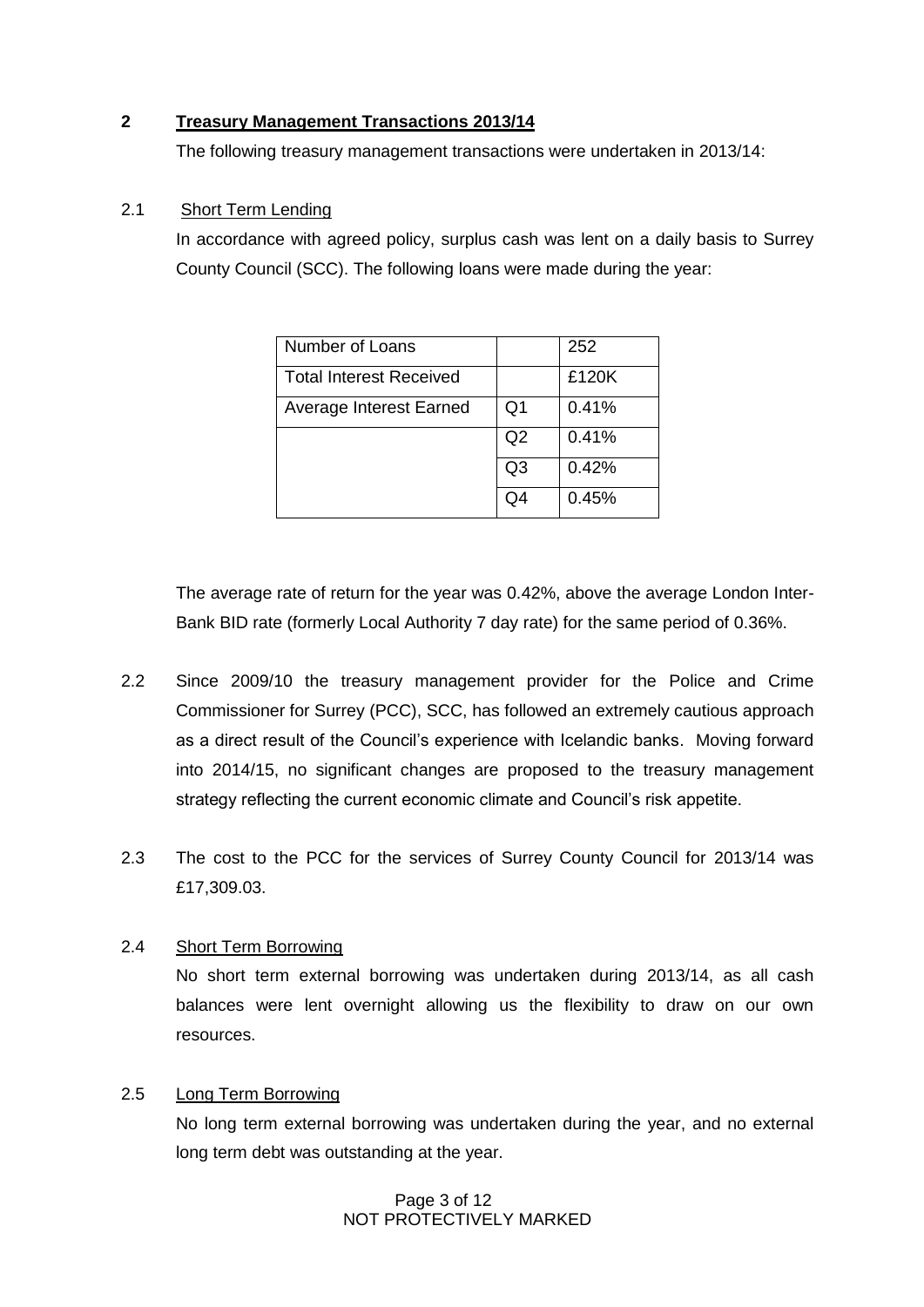#### **2 Treasury Management Transactions 2013/14**

The following treasury management transactions were undertaken in 2013/14:

#### 2.1 Short Term Lending

In accordance with agreed policy, surplus cash was lent on a daily basis to Surrey County Council (SCC). The following loans were made during the year:

| Number of Loans                |    | 252   |  |  |
|--------------------------------|----|-------|--|--|
| <b>Total Interest Received</b> |    | £120K |  |  |
| Average Interest Earned        | Q1 | 0.41% |  |  |
|                                | Q2 | 0.41% |  |  |
|                                | Q3 | 0.42% |  |  |
|                                | 04 | 0.45% |  |  |

The average rate of return for the year was 0.42%, above the average London Inter-Bank BID rate (formerly Local Authority 7 day rate) for the same period of 0.36%.

- 2.2 Since 2009/10 the treasury management provider for the Police and Crime Commissioner for Surrey (PCC), SCC, has followed an extremely cautious approach as a direct result of the Council's experience with Icelandic banks. Moving forward into 2014/15, no significant changes are proposed to the treasury management strategy reflecting the current economic climate and Council's risk appetite.
- 2.3 The cost to the PCC for the services of Surrey County Council for 2013/14 was £17,309.03.

#### 2.4 Short Term Borrowing

No short term external borrowing was undertaken during 2013/14, as all cash balances were lent overnight allowing us the flexibility to draw on our own resources.

#### 2.5 Long Term Borrowing

No long term external borrowing was undertaken during the year, and no external long term debt was outstanding at the year.

#### Page 3 of 12 NOT PROTECTIVELY MARKED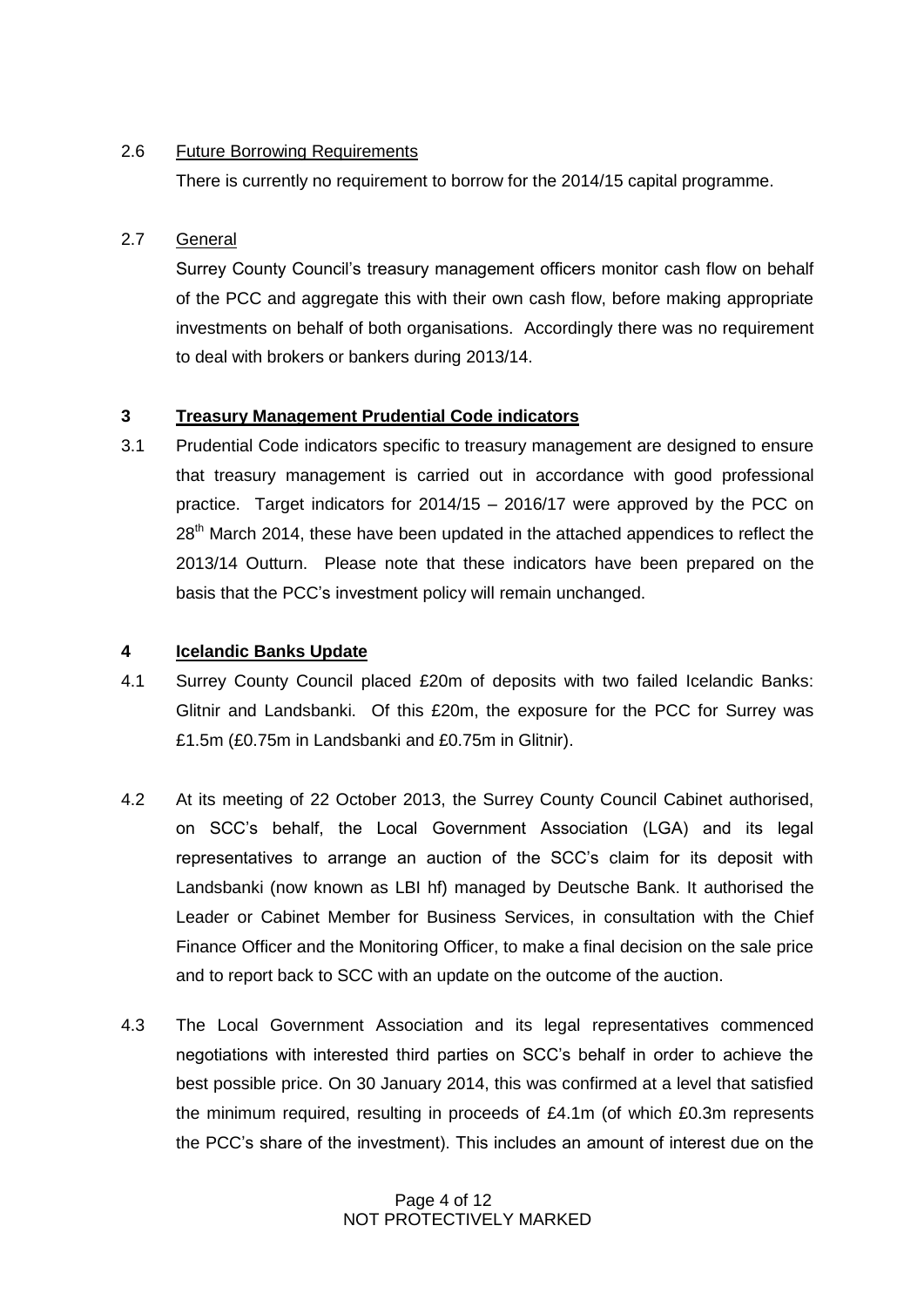#### 2.6 Future Borrowing Requirements

There is currently no requirement to borrow for the 2014/15 capital programme.

### 2.7 General

Surrey County Council's treasury management officers monitor cash flow on behalf of the PCC and aggregate this with their own cash flow, before making appropriate investments on behalf of both organisations. Accordingly there was no requirement to deal with brokers or bankers during 2013/14.

### **3 Treasury Management Prudential Code indicators**

3.1 Prudential Code indicators specific to treasury management are designed to ensure that treasury management is carried out in accordance with good professional practice. Target indicators for 2014/15 – 2016/17 were approved by the PCC on  $28<sup>th</sup>$  March 2014, these have been updated in the attached appendices to reflect the 2013/14 Outturn. Please note that these indicators have been prepared on the basis that the PCC's investment policy will remain unchanged.

### **4 Icelandic Banks Update**

- 4.1 Surrey County Council placed £20m of deposits with two failed Icelandic Banks: Glitnir and Landsbanki. Of this £20m, the exposure for the PCC for Surrey was £1.5m (£0.75m in Landsbanki and £0.75m in Glitnir).
- 4.2 At its meeting of 22 October 2013, the Surrey County Council Cabinet authorised, on SCC's behalf, the Local Government Association (LGA) and its legal representatives to arrange an auction of the SCC's claim for its deposit with Landsbanki (now known as LBI hf) managed by Deutsche Bank. It authorised the Leader or Cabinet Member for Business Services, in consultation with the Chief Finance Officer and the Monitoring Officer, to make a final decision on the sale price and to report back to SCC with an update on the outcome of the auction.
- 4.3 The Local Government Association and its legal representatives commenced negotiations with interested third parties on SCC's behalf in order to achieve the best possible price. On 30 January 2014, this was confirmed at a level that satisfied the minimum required, resulting in proceeds of £4.1m (of which £0.3m represents the PCC's share of the investment). This includes an amount of interest due on the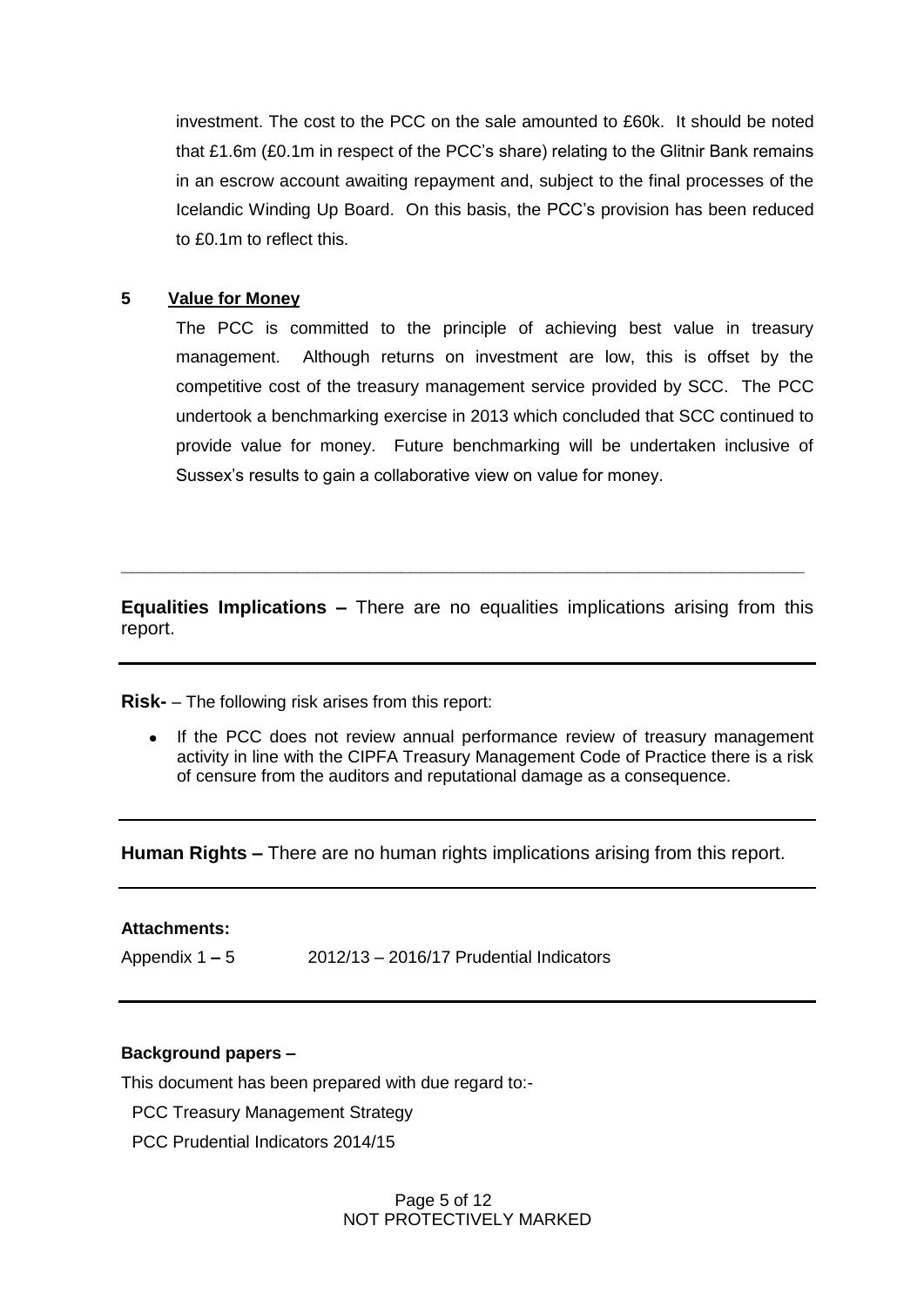investment. The cost to the PCC on the sale amounted to £60k. It should be noted that £1.6m (£0.1m in respect of the PCC's share) relating to the Glitnir Bank remains in an escrow account awaiting repayment and, subject to the final processes of the Icelandic Winding Up Board. On this basis, the PCC's provision has been reduced to £0.1m to reflect this.

#### **5 Value for Money**

The PCC is committed to the principle of achieving best value in treasury management. Although returns on investment are low, this is offset by the competitive cost of the treasury management service provided by SCC. The PCC undertook a benchmarking exercise in 2013 which concluded that SCC continued to provide value for money. Future benchmarking will be undertaken inclusive of Sussex's results to gain a collaborative view on value for money.

**Equalities Implications –** There are no equalities implications arising from this report.

**\_\_\_\_\_\_\_\_\_\_\_\_\_\_\_\_\_\_\_\_\_\_\_\_\_\_\_\_\_\_\_\_\_\_\_\_\_\_\_\_\_\_\_\_\_\_\_\_\_\_\_\_\_\_\_\_\_\_\_\_\_\_\_\_\_\_**

**Risk-** – The following risk arises from this report:

If the PCC does not review annual performance review of treasury management activity in line with the CIPFA Treasury Management Code of Practice there is a risk of censure from the auditors and reputational damage as a consequence.

**Human Rights –** There are no human rights implications arising from this report.

#### **Attachments:**

Appendix 1 **–** 5 2012/13 – 2016/17 Prudential Indicators

## **Background papers –**

This document has been prepared with due regard to:-

- PCC Treasury Management Strategy
- PCC Prudential Indicators 2014/15

Page 5 of 12 NOT PROTECTIVELY MARKED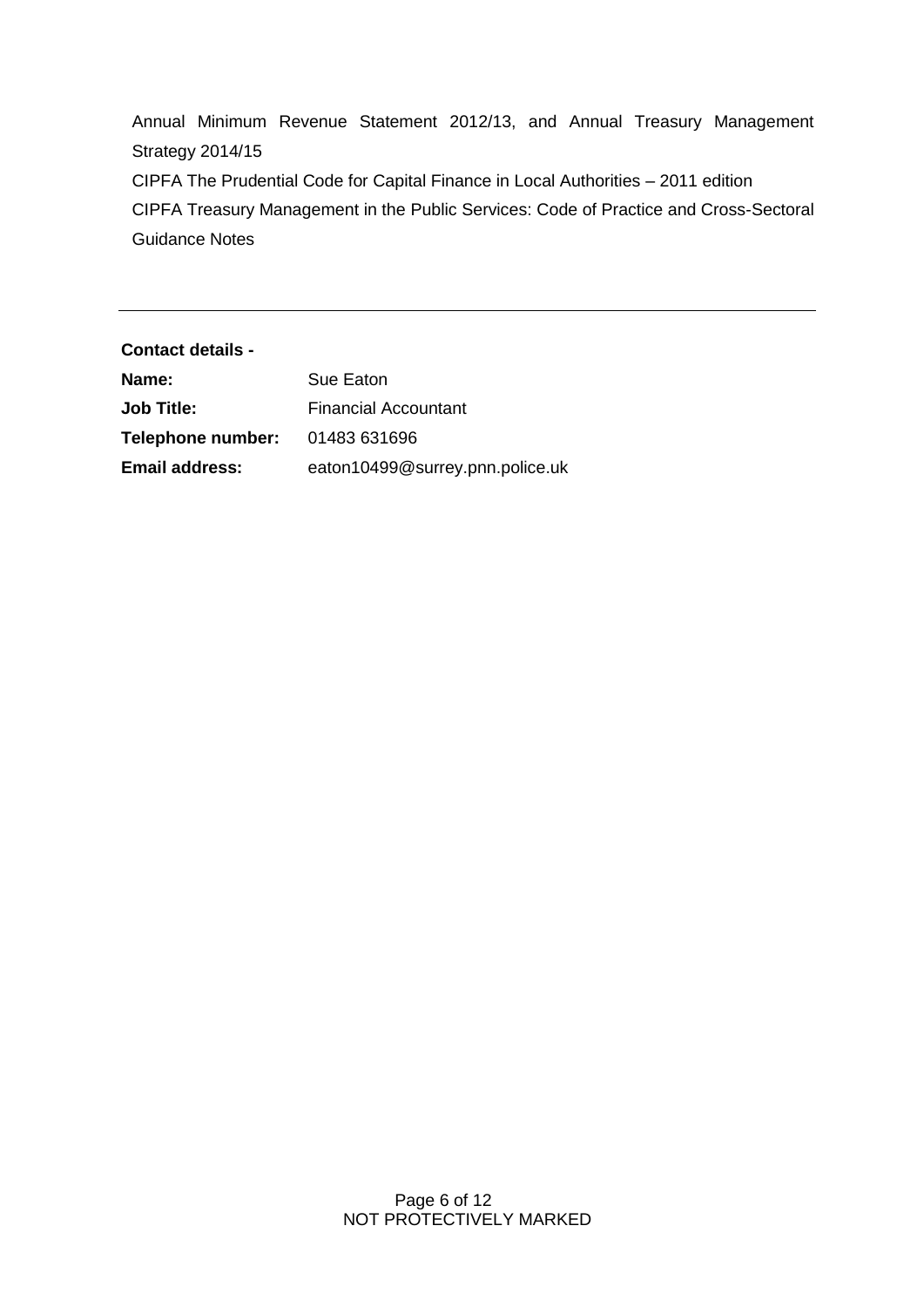Annual Minimum Revenue Statement 2012/13, and Annual Treasury Management Strategy 2014/15 CIPFA The Prudential Code for Capital Finance in Local Authorities – 2011 edition CIPFA Treasury Management in the Public Services: Code of Practice and Cross-Sectoral Guidance Notes

**Contact details - Name:** Sue Eaton **Job Title:** Financial Accountant **Telephone number:** 01483 631696 **Email address:** eaton10499@surrey.pnn.police.uk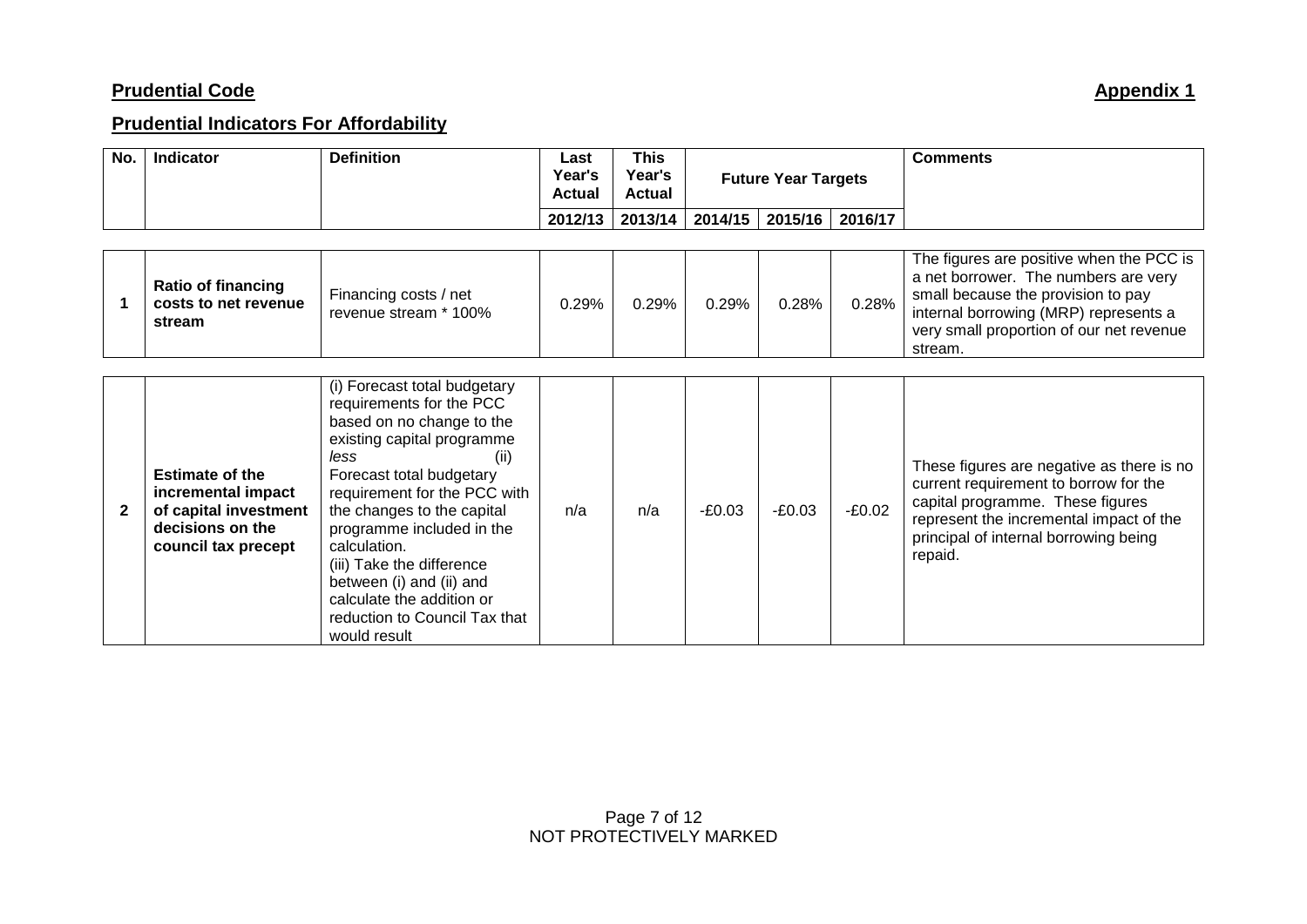# **Prudential Indicators For Affordability**

| No.          | Indicator                                                                                                        | <b>Definition</b>                                                                                                                                                                                                                                                                                                                                                                                                 | Last<br>Year's<br><b>Actual</b> | <b>This</b><br>Year's<br><b>Actual</b> | <b>Future Year Targets</b> |          |          | <b>Comments</b>                                                                                                                                                                                                       |
|--------------|------------------------------------------------------------------------------------------------------------------|-------------------------------------------------------------------------------------------------------------------------------------------------------------------------------------------------------------------------------------------------------------------------------------------------------------------------------------------------------------------------------------------------------------------|---------------------------------|----------------------------------------|----------------------------|----------|----------|-----------------------------------------------------------------------------------------------------------------------------------------------------------------------------------------------------------------------|
|              |                                                                                                                  |                                                                                                                                                                                                                                                                                                                                                                                                                   | 2012/13                         | 2013/14                                | 2014/15                    | 2015/16  | 2016/17  |                                                                                                                                                                                                                       |
|              | <b>Ratio of financing</b><br>costs to net revenue<br>stream                                                      | Financing costs / net<br>revenue stream * 100%                                                                                                                                                                                                                                                                                                                                                                    | 0.29%                           | 0.29%                                  | 0.29%                      | 0.28%    | 0.28%    | The figures are positive when the PCC is<br>a net borrower. The numbers are very<br>small because the provision to pay<br>internal borrowing (MRP) represents a<br>very small proportion of our net revenue           |
|              |                                                                                                                  |                                                                                                                                                                                                                                                                                                                                                                                                                   |                                 |                                        |                            |          |          | stream.                                                                                                                                                                                                               |
| $\mathbf{2}$ | <b>Estimate of the</b><br>incremental impact<br>of capital investment<br>decisions on the<br>council tax precept | (i) Forecast total budgetary<br>requirements for the PCC<br>based on no change to the<br>existing capital programme<br>less<br>(ii)<br>Forecast total budgetary<br>requirement for the PCC with<br>the changes to the capital<br>programme included in the<br>calculation.<br>(iii) Take the difference<br>between (i) and (ii) and<br>calculate the addition or<br>reduction to Council Tax that<br>would result | n/a                             | n/a                                    | $-E0.03$                   | $-E0.03$ | $-£0.02$ | These figures are negative as there is no<br>current requirement to borrow for the<br>capital programme. These figures<br>represent the incremental impact of the<br>principal of internal borrowing being<br>repaid. |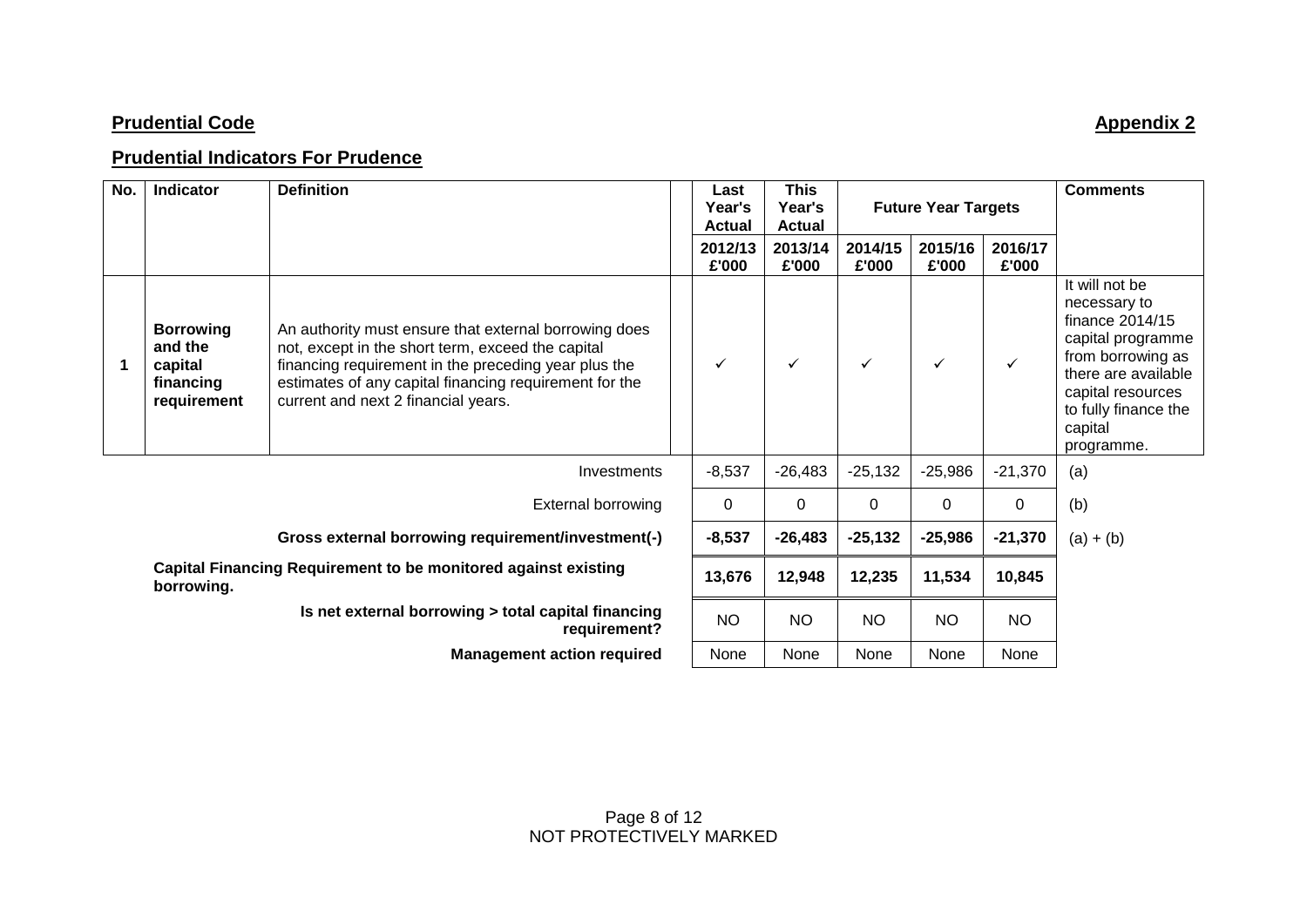# **Prudential Indicators For Prudence**

| No. | Indicator                                                                           | <b>Definition</b>                                                                                                                                                                                                                                                   | Last<br>Year's<br><b>Actual</b> | <b>This</b><br>Year's<br><b>Actual</b> |                  | <b>Future Year Targets</b> | <b>Comments</b>  |                                                                                                                                                                                          |
|-----|-------------------------------------------------------------------------------------|---------------------------------------------------------------------------------------------------------------------------------------------------------------------------------------------------------------------------------------------------------------------|---------------------------------|----------------------------------------|------------------|----------------------------|------------------|------------------------------------------------------------------------------------------------------------------------------------------------------------------------------------------|
|     |                                                                                     |                                                                                                                                                                                                                                                                     | 2012/13<br>£'000                | 2013/14<br>£'000                       | 2014/15<br>£'000 | 2015/16<br>£'000           | 2016/17<br>£'000 |                                                                                                                                                                                          |
| 1   | <b>Borrowing</b><br>and the<br>capital<br>financing<br>requirement                  | An authority must ensure that external borrowing does<br>not, except in the short term, exceed the capital<br>financing requirement in the preceding year plus the<br>estimates of any capital financing requirement for the<br>current and next 2 financial years. |                                 | ✓                                      | ✓                | ✓                          | ✓                | It will not be<br>necessary to<br>finance 2014/15<br>capital programme<br>from borrowing as<br>there are available<br>capital resources<br>to fully finance the<br>capital<br>programme. |
|     |                                                                                     | Investments                                                                                                                                                                                                                                                         | $-8,537$                        | $-26,483$                              | $-25,132$        | $-25,986$                  | $-21,370$        | (a)                                                                                                                                                                                      |
|     |                                                                                     | <b>External borrowing</b>                                                                                                                                                                                                                                           | 0                               | 0                                      | 0                | 0                          | 0                | (b)                                                                                                                                                                                      |
|     |                                                                                     | $-8,537$                                                                                                                                                                                                                                                            | $-26,483$                       | $-25,132$                              | $-25,986$        | $-21,370$                  | $(a) + (b)$      |                                                                                                                                                                                          |
|     | <b>Capital Financing Requirement to be monitored against existing</b><br>borrowing. |                                                                                                                                                                                                                                                                     |                                 | 12,948                                 | 12,235           | 11,534                     | 10,845           |                                                                                                                                                                                          |
|     |                                                                                     | Is net external borrowing > total capital financing<br>requirement?                                                                                                                                                                                                 | <b>NO</b>                       | <b>NO</b>                              | <b>NO</b>        | <b>NO</b>                  | <b>NO</b>        |                                                                                                                                                                                          |
|     |                                                                                     | <b>Management action required</b>                                                                                                                                                                                                                                   | None                            | None                                   | None             | None                       | None             |                                                                                                                                                                                          |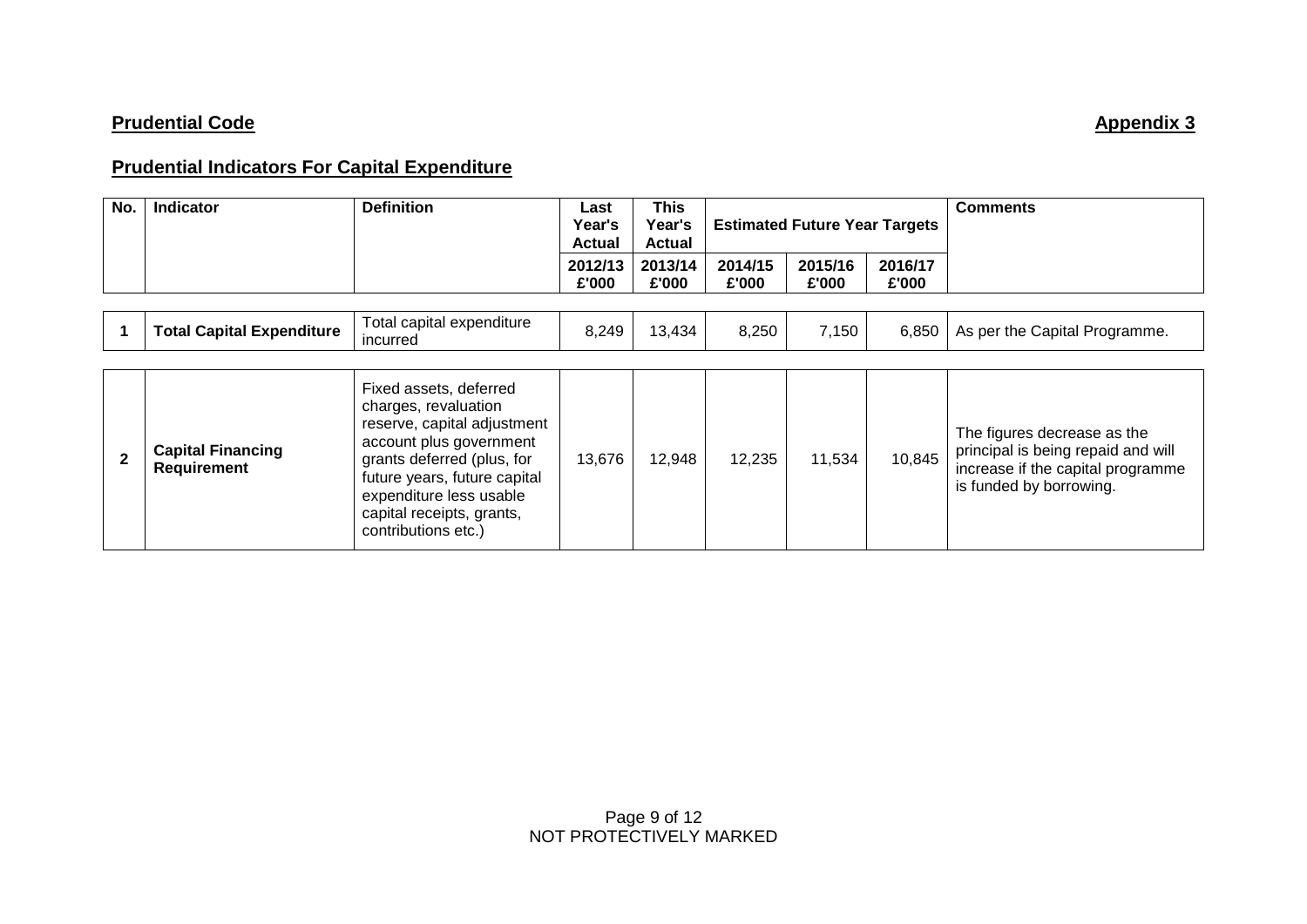## **Prudential Indicators For Capital Expenditure**

| No.          | <b>Indicator</b>                               | <b>Definition</b>                                                                                                                                                                                                                                     | Last<br>Year's<br><b>Actual</b> | This<br>Year's<br><b>Actual</b> | <b>Estimated Future Year Targets</b> |                  |                  | <b>Comments</b>                                                                                                                   |
|--------------|------------------------------------------------|-------------------------------------------------------------------------------------------------------------------------------------------------------------------------------------------------------------------------------------------------------|---------------------------------|---------------------------------|--------------------------------------|------------------|------------------|-----------------------------------------------------------------------------------------------------------------------------------|
|              |                                                |                                                                                                                                                                                                                                                       | 2012/13<br>£'000                | 2013/14<br>£'000                | 2014/15<br>£'000                     | 2015/16<br>£'000 | 2016/17<br>£'000 |                                                                                                                                   |
|              | <b>Total Capital Expenditure</b>               | Total capital expenditure<br>incurred                                                                                                                                                                                                                 | 8,249                           | 13,434                          | 8,250                                | 7,150            | 6,850            | As per the Capital Programme.                                                                                                     |
| $\mathbf{2}$ | <b>Capital Financing</b><br><b>Requirement</b> | Fixed assets, deferred<br>charges, revaluation<br>reserve, capital adjustment<br>account plus government<br>grants deferred (plus, for<br>future years, future capital<br>expenditure less usable<br>capital receipts, grants,<br>contributions etc.) | 13,676                          | 12,948                          | 12,235                               | 11,534           | 10,845           | The figures decrease as the<br>principal is being repaid and will<br>increase if the capital programme<br>is funded by borrowing. |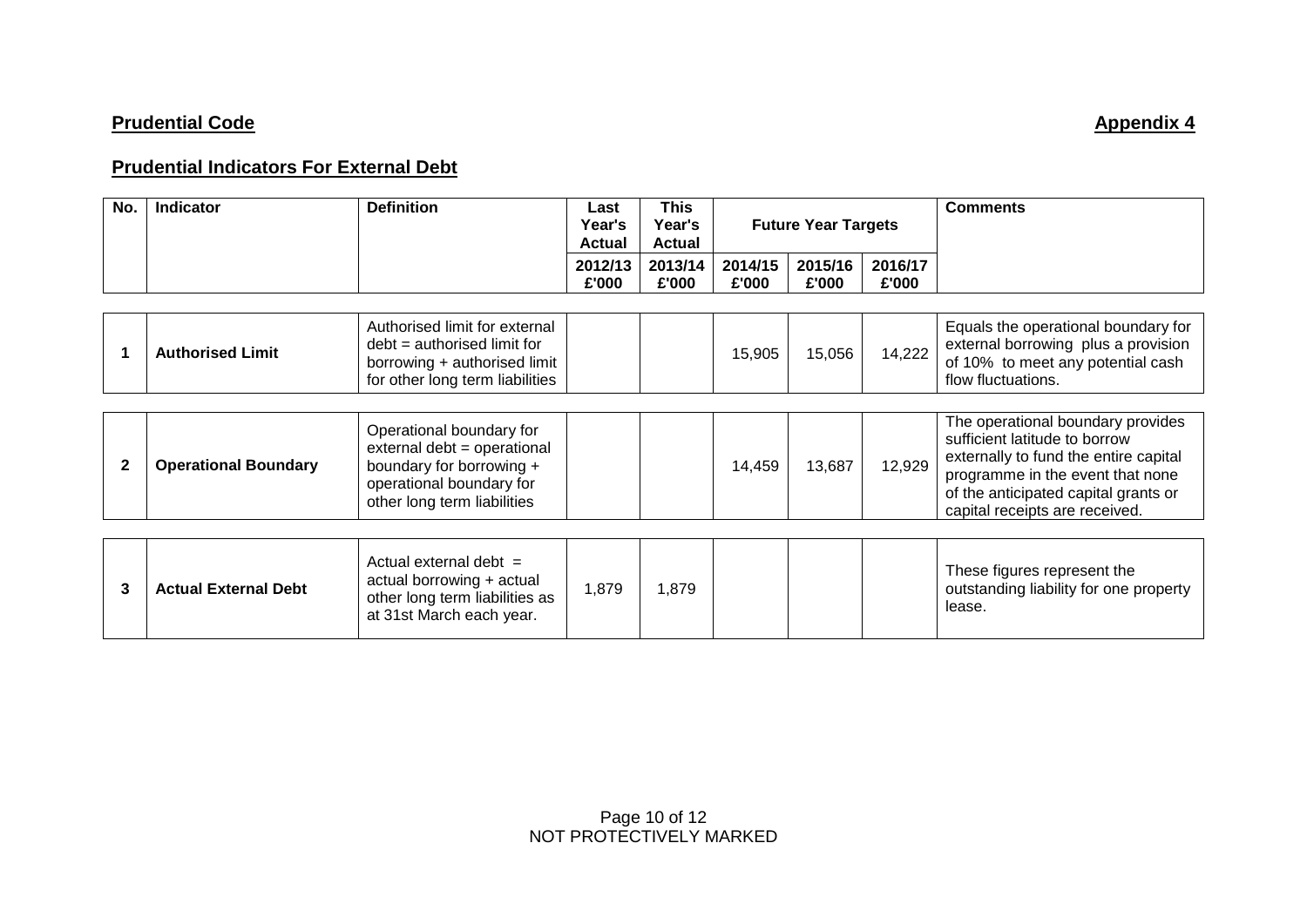## **Prudential Indicators For External Debt**

| No. | Indicator                   | <b>Definition</b>                                                                                                                              | Last<br>Year's<br><b>Actual</b> | <b>This</b><br>Year's<br><b>Actual</b> | <b>Future Year Targets</b> |                  |                  | <b>Comments</b>                                                                                                                                                                                                           |
|-----|-----------------------------|------------------------------------------------------------------------------------------------------------------------------------------------|---------------------------------|----------------------------------------|----------------------------|------------------|------------------|---------------------------------------------------------------------------------------------------------------------------------------------------------------------------------------------------------------------------|
|     |                             |                                                                                                                                                | 2012/13<br>£'000                | 2013/14<br>£'000                       | 2014/15<br>£'000           | 2015/16<br>£'000 | 2016/17<br>£'000 |                                                                                                                                                                                                                           |
|     |                             |                                                                                                                                                |                                 |                                        |                            |                  |                  |                                                                                                                                                                                                                           |
|     | <b>Authorised Limit</b>     | Authorised limit for external<br>$debt = authorised limit for$<br>borrowing + authorised limit<br>for other long term liabilities              |                                 |                                        | 15,905                     | 15,056           | 14,222           | Equals the operational boundary for<br>external borrowing plus a provision<br>of 10% to meet any potential cash<br>flow fluctuations.                                                                                     |
|     |                             |                                                                                                                                                |                                 |                                        |                            |                  |                  |                                                                                                                                                                                                                           |
| 2   | <b>Operational Boundary</b> | Operational boundary for<br>external debt = operational<br>boundary for borrowing +<br>operational boundary for<br>other long term liabilities |                                 |                                        | 14,459                     | 13,687           | 12,929           | The operational boundary provides<br>sufficient latitude to borrow<br>externally to fund the entire capital<br>programme in the event that none<br>of the anticipated capital grants or<br>capital receipts are received. |
|     |                             |                                                                                                                                                |                                 |                                        |                            |                  |                  |                                                                                                                                                                                                                           |
| 3   | <b>Actual External Debt</b> | Actual external debt $=$<br>actual borrowing + actual<br>other long term liabilities as<br>at 31st March each year.                            | 1,879                           | 1,879                                  |                            |                  |                  | These figures represent the<br>outstanding liability for one property<br>lease.                                                                                                                                           |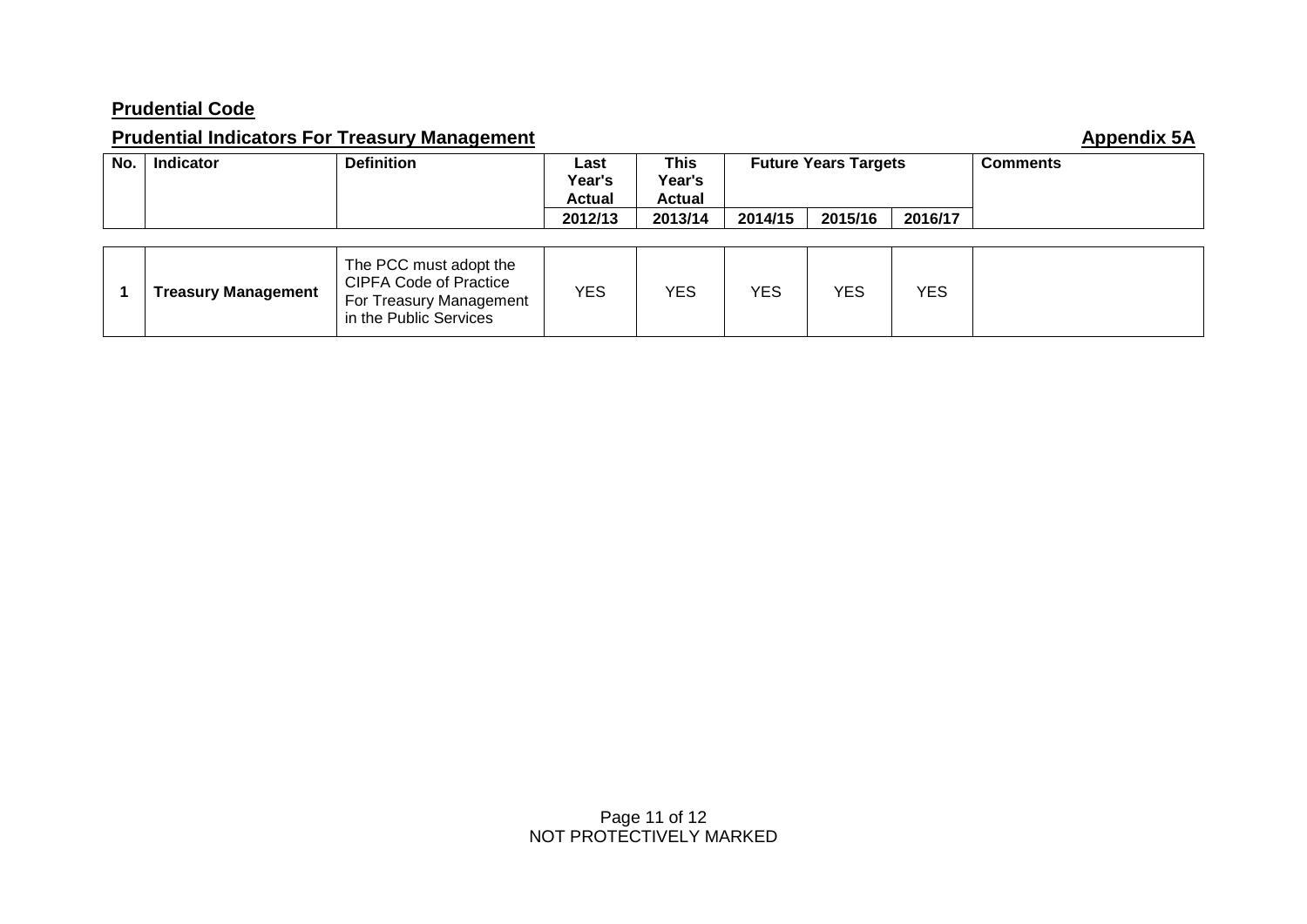## **Prudential Code**

# **Prudential Indicators For Treasury Management Appendix 5A Appendix 5A**

| No. | <b>Indicator</b> | <b>Definition</b> | ∟ast<br>Year's<br>Actual | This<br>Year's<br>Actual | <b>Future Years Targets</b> |         |         | <b>Comments</b> |
|-----|------------------|-------------------|--------------------------|--------------------------|-----------------------------|---------|---------|-----------------|
|     |                  |                   | 2012/13                  | 2013/14                  | 2014/15                     | 2015/16 | 2016/17 |                 |

|  | <b>Treasury Management</b> | The PCC must adopt the<br><b>CIPFA Code of Practice</b><br>For Treasury Management<br>in the Public Services | YES | <b>YES</b> | YES. | YES | <b>YES</b> |  |
|--|----------------------------|--------------------------------------------------------------------------------------------------------------|-----|------------|------|-----|------------|--|
|--|----------------------------|--------------------------------------------------------------------------------------------------------------|-----|------------|------|-----|------------|--|